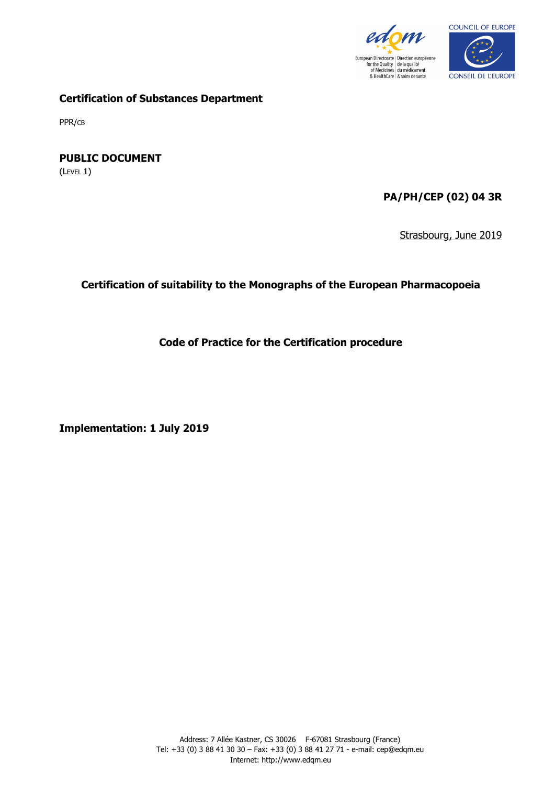



**Certification of Substances Department**

PPR/CB

**PUBLIC DOCUMENT**

(LEVEL 1)

**PA/PH/CEP (02) 04 3R**

Strasbourg, June 2019

**Certification of suitability to the Monographs of the European Pharmacopoeia**

**Code of Practice for the Certification procedure**

**Implementation: 1 July 2019**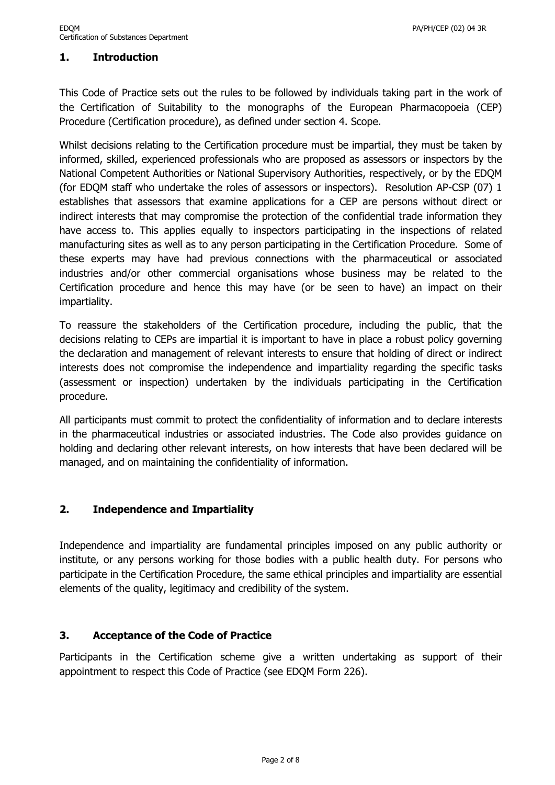# **1. Introduction**

This Code of Practice sets out the rules to be followed by individuals taking part in the work of the Certification of Suitability to the monographs of the European Pharmacopoeia (CEP) Procedure (Certification procedure), as defined under section 4. Scope.

Whilst decisions relating to the Certification procedure must be impartial, they must be taken by informed, skilled, experienced professionals who are proposed as assessors or inspectors by the National Competent Authorities or National Supervisory Authorities, respectively, or by the EDQM (for EDQM staff who undertake the roles of assessors or inspectors). Resolution AP-CSP (07) 1 establishes that assessors that examine applications for a CEP are persons without direct or indirect interests that may compromise the protection of the confidential trade information they have access to. This applies equally to inspectors participating in the inspections of related manufacturing sites as well as to any person participating in the Certification Procedure. Some of these experts may have had previous connections with the pharmaceutical or associated industries and/or other commercial organisations whose business may be related to the Certification procedure and hence this may have (or be seen to have) an impact on their impartiality.

To reassure the stakeholders of the Certification procedure, including the public, that the decisions relating to CEPs are impartial it is important to have in place a robust policy governing the declaration and management of relevant interests to ensure that holding of direct or indirect interests does not compromise the independence and impartiality regarding the specific tasks (assessment or inspection) undertaken by the individuals participating in the Certification procedure.

All participants must commit to protect the confidentiality of information and to declare interests in the pharmaceutical industries or associated industries. The Code also provides guidance on holding and declaring other relevant interests, on how interests that have been declared will be managed, and on maintaining the confidentiality of information.

#### **2. Independence and Impartiality**

Independence and impartiality are fundamental principles imposed on any public authority or institute, or any persons working for those bodies with a public health duty. For persons who participate in the Certification Procedure, the same ethical principles and impartiality are essential elements of the quality, legitimacy and credibility of the system.

#### **3. Acceptance of the Code of Practice**

Participants in the Certification scheme give a written undertaking as support of their appointment to respect this Code of Practice (see EDQM Form 226).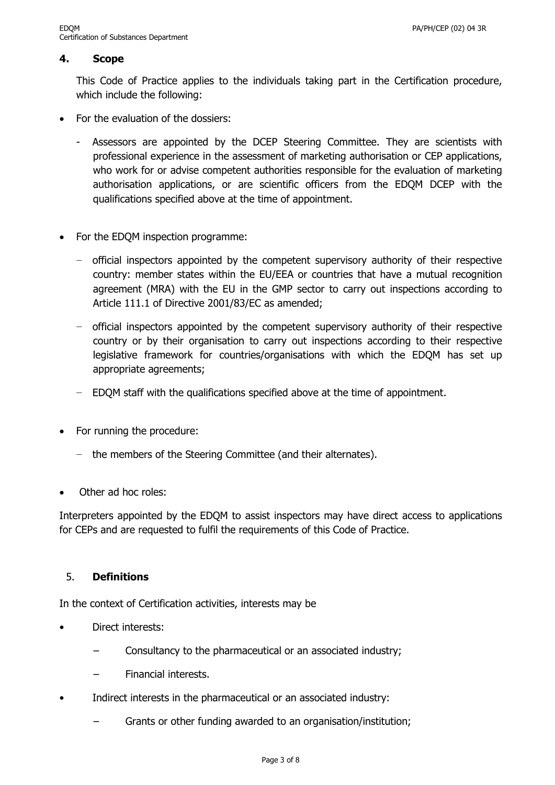# **4. Scope**

This Code of Practice applies to the individuals taking part in the Certification procedure, which include the following:

- For the evaluation of the dossiers:
	- Assessors are appointed by the DCEP Steering Committee. They are scientists with professional experience in the assessment of marketing authorisation or CEP applications, who work for or advise competent authorities responsible for the evaluation of marketing authorisation applications, or are scientific officers from the EDQM DCEP with the qualifications specified above at the time of appointment.
- For the EDQM inspection programme:
	- − official inspectors appointed by the competent supervisory authority of their respective country: member states within the EU/EEA or countries that have a mutual recognition agreement (MRA) with the EU in the GMP sector to carry out inspections according to Article 111.1 of Directive 2001/83/EC as amended;
	- − official inspectors appointed by the competent supervisory authority of their respective country or by their organisation to carry out inspections according to their respective legislative framework for countries/organisations with which the EDQM has set up appropriate agreements;
	- − EDQM staff with the qualifications specified above at the time of appointment.
- For running the procedure:
	- − the members of the Steering Committee (and their alternates).
- Other ad hoc roles:

Interpreters appointed by the EDQM to assist inspectors may have direct access to applications for CEPs and are requested to fulfil the requirements of this Code of Practice.

# 5. **Definitions**

In the context of Certification activities, interests may be

- Direct interests:
	- − Consultancy to the pharmaceutical or an associated industry;
	- Financial interests.
- Indirect interests in the pharmaceutical or an associated industry:
	- Grants or other funding awarded to an organisation/institution;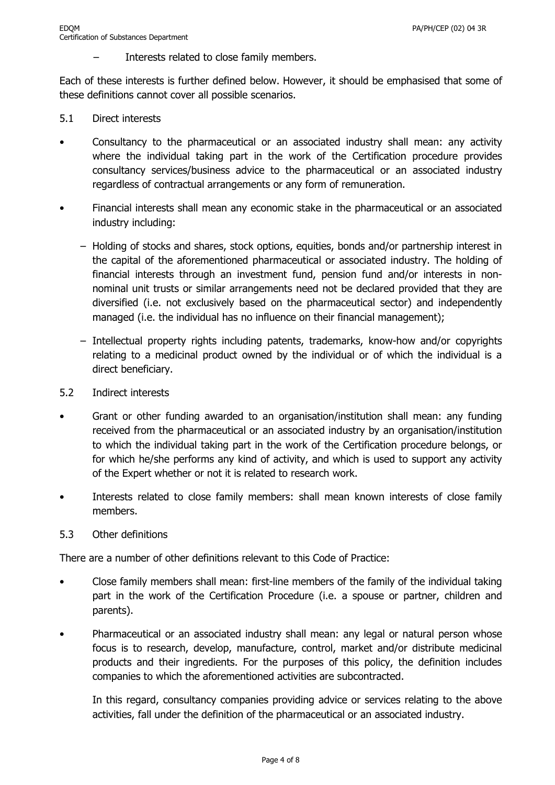Interests related to close family members.

Each of these interests is further defined below. However, it should be emphasised that some of these definitions cannot cover all possible scenarios.

- 5.1 Direct interests
- Consultancy to the pharmaceutical or an associated industry shall mean: any activity where the individual taking part in the work of the Certification procedure provides consultancy services/business advice to the pharmaceutical or an associated industry regardless of contractual arrangements or any form of remuneration.
- Financial interests shall mean any economic stake in the pharmaceutical or an associated industry including:
	- − Holding of stocks and shares, stock options, equities, bonds and/or partnership interest in the capital of the aforementioned pharmaceutical or associated industry. The holding of financial interests through an investment fund, pension fund and/or interests in nonnominal unit trusts or similar arrangements need not be declared provided that they are diversified (i.e. not exclusively based on the pharmaceutical sector) and independently managed (i.e. the individual has no influence on their financial management);
	- − Intellectual property rights including patents, trademarks, know-how and/or copyrights relating to a medicinal product owned by the individual or of which the individual is a direct beneficiary.
- 5.2 Indirect interests
- Grant or other funding awarded to an organisation/institution shall mean: any funding received from the pharmaceutical or an associated industry by an organisation/institution to which the individual taking part in the work of the Certification procedure belongs, or for which he/she performs any kind of activity, and which is used to support any activity of the Expert whether or not it is related to research work.
- Interests related to close family members: shall mean known interests of close family members.
- 5.3 Other definitions

There are a number of other definitions relevant to this Code of Practice:

- Close family members shall mean: first-line members of the family of the individual taking part in the work of the Certification Procedure (i.e. a spouse or partner, children and parents).
- Pharmaceutical or an associated industry shall mean: any legal or natural person whose focus is to research, develop, manufacture, control, market and/or distribute medicinal products and their ingredients. For the purposes of this policy, the definition includes companies to which the aforementioned activities are subcontracted.

In this regard, consultancy companies providing advice or services relating to the above activities, fall under the definition of the pharmaceutical or an associated industry.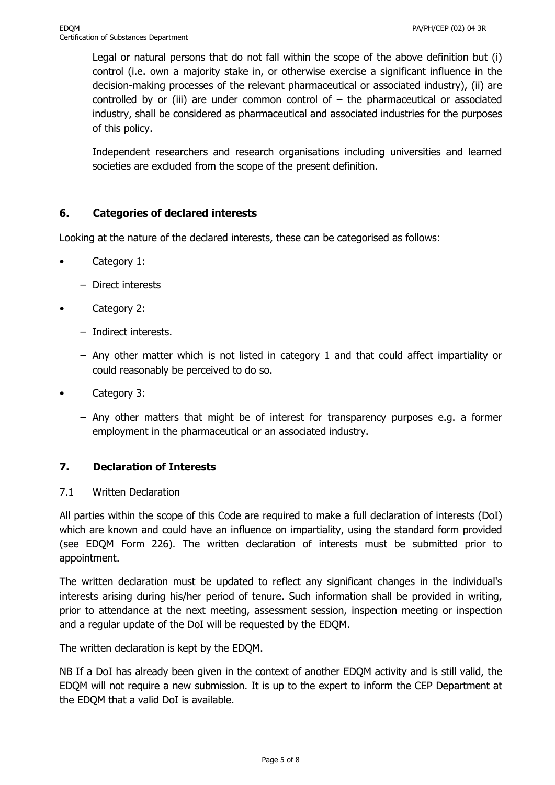Legal or natural persons that do not fall within the scope of the above definition but (i) control (i.e. own a majority stake in, or otherwise exercise a significant influence in the decision-making processes of the relevant pharmaceutical or associated industry), (ii) are controlled by or (iii) are under common control of  $-$  the pharmaceutical or associated industry, shall be considered as pharmaceutical and associated industries for the purposes of this policy.

Independent researchers and research organisations including universities and learned societies are excluded from the scope of the present definition.

# **6. Categories of declared interests**

Looking at the nature of the declared interests, these can be categorised as follows:

- Category 1:
	- − Direct interests
- Category 2:
	- − Indirect interests.
	- − Any other matter which is not listed in category 1 and that could affect impartiality or could reasonably be perceived to do so.
- Category 3:
	- − Any other matters that might be of interest for transparency purposes e.g. a former employment in the pharmaceutical or an associated industry.

# **7. Declaration of Interests**

#### 7.1 Written Declaration

All parties within the scope of this Code are required to make a full declaration of interests (DoI) which are known and could have an influence on impartiality, using the standard form provided (see EDQM Form 226). The written declaration of interests must be submitted prior to appointment.

The written declaration must be updated to reflect any significant changes in the individual's interests arising during his/her period of tenure. Such information shall be provided in writing, prior to attendance at the next meeting, assessment session, inspection meeting or inspection and a regular update of the DoI will be requested by the EDQM.

The written declaration is kept by the EDQM.

NB If a DoI has already been given in the context of another EDQM activity and is still valid, the EDQM will not require a new submission. It is up to the expert to inform the CEP Department at the EDQM that a valid DoI is available.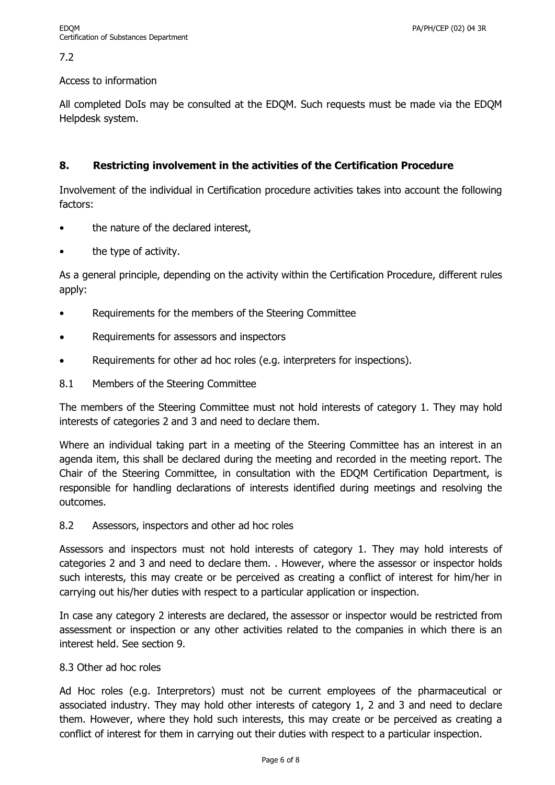## 7.2

#### Access to information

All completed DoIs may be consulted at the EDQM. Such requests must be made via the EDQM Helpdesk system.

## **8. Restricting involvement in the activities of the Certification Procedure**

Involvement of the individual in Certification procedure activities takes into account the following factors:

- the nature of the declared interest,
- the type of activity.

As a general principle, depending on the activity within the Certification Procedure, different rules apply:

- Requirements for the members of the Steering Committee
- Requirements for assessors and inspectors
- Requirements for other ad hoc roles (e.g. interpreters for inspections).
- 8.1 Members of the Steering Committee

The members of the Steering Committee must not hold interests of category 1. They may hold interests of categories 2 and 3 and need to declare them.

Where an individual taking part in a meeting of the Steering Committee has an interest in an agenda item, this shall be declared during the meeting and recorded in the meeting report. The Chair of the Steering Committee, in consultation with the EDQM Certification Department, is responsible for handling declarations of interests identified during meetings and resolving the outcomes.

8.2 Assessors, inspectors and other ad hoc roles

Assessors and inspectors must not hold interests of category 1. They may hold interests of categories 2 and 3 and need to declare them. . However, where the assessor or inspector holds such interests, this may create or be perceived as creating a conflict of interest for him/her in carrying out his/her duties with respect to a particular application or inspection.

In case any category 2 interests are declared, the assessor or inspector would be restricted from assessment or inspection or any other activities related to the companies in which there is an interest held. See section 9.

## 8.3 Other ad hoc roles

Ad Hoc roles (e.g. Interpretors) must not be current employees of the pharmaceutical or associated industry. They may hold other interests of category 1, 2 and 3 and need to declare them. However, where they hold such interests, this may create or be perceived as creating a conflict of interest for them in carrying out their duties with respect to a particular inspection.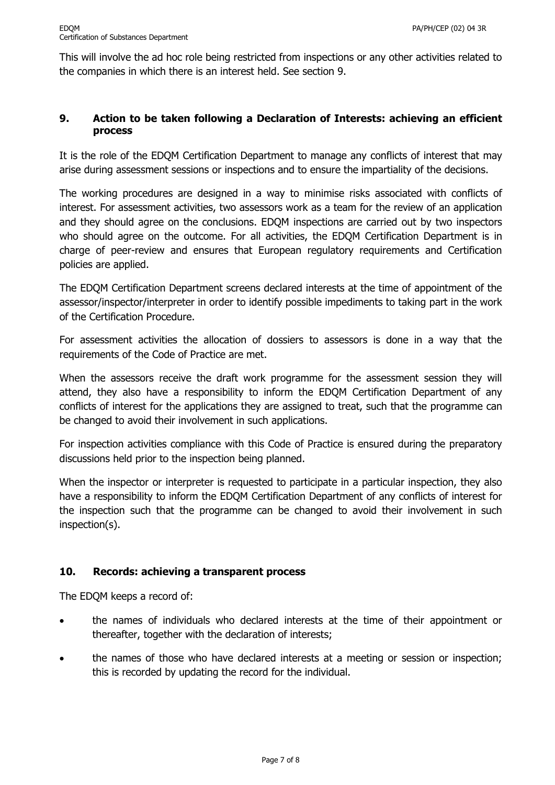This will involve the ad hoc role being restricted from inspections or any other activities related to the companies in which there is an interest held. See section 9.

# **9. Action to be taken following a Declaration of Interests: achieving an efficient process**

It is the role of the EDQM Certification Department to manage any conflicts of interest that may arise during assessment sessions or inspections and to ensure the impartiality of the decisions.

The working procedures are designed in a way to minimise risks associated with conflicts of interest. For assessment activities, two assessors work as a team for the review of an application and they should agree on the conclusions. EDQM inspections are carried out by two inspectors who should agree on the outcome. For all activities, the EDQM Certification Department is in charge of peer-review and ensures that European regulatory requirements and Certification policies are applied.

The EDQM Certification Department screens declared interests at the time of appointment of the assessor/inspector/interpreter in order to identify possible impediments to taking part in the work of the Certification Procedure.

For assessment activities the allocation of dossiers to assessors is done in a way that the requirements of the Code of Practice are met.

When the assessors receive the draft work programme for the assessment session they will attend, they also have a responsibility to inform the EDQM Certification Department of any conflicts of interest for the applications they are assigned to treat, such that the programme can be changed to avoid their involvement in such applications.

For inspection activities compliance with this Code of Practice is ensured during the preparatory discussions held prior to the inspection being planned.

When the inspector or interpreter is requested to participate in a particular inspection, they also have a responsibility to inform the EDQM Certification Department of any conflicts of interest for the inspection such that the programme can be changed to avoid their involvement in such inspection(s).

# **10. Records: achieving a transparent process**

The EDQM keeps a record of:

- the names of individuals who declared interests at the time of their appointment or thereafter, together with the declaration of interests;
- the names of those who have declared interests at a meeting or session or inspection; this is recorded by updating the record for the individual.